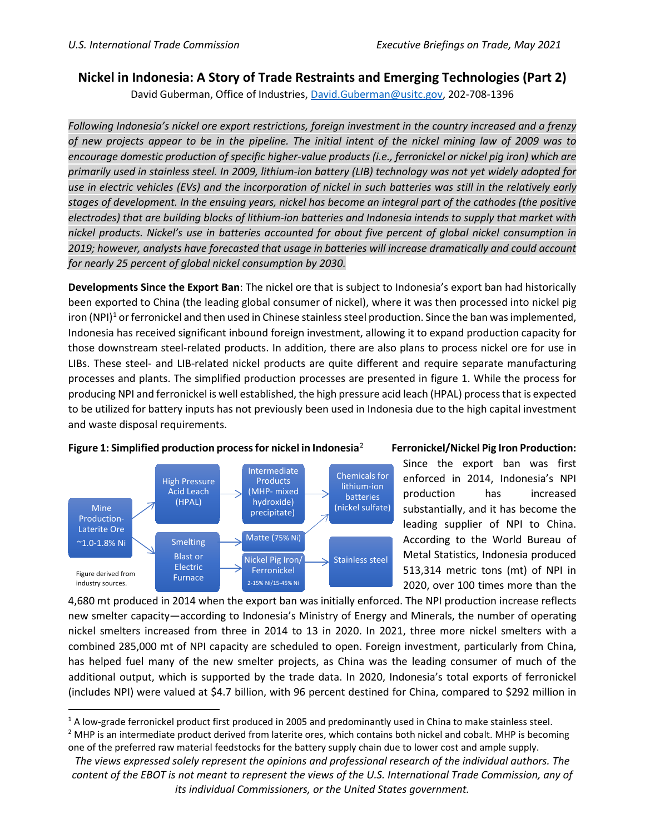## **Nickel in Indonesia: A Story of Trade Restraints and Emerging Technologies (Part 2)**

David Guberman, Office of Industries, [David.Guberman@usitc.gov,](file://s1p-fsc-01/Home/david.guberman/Documents/Nickel/Indonesia/Bob%20Edits/David.Guberman@usitc.gov) 202-708-1396

*Following Indonesia's nickel ore export restrictions, foreign investment in the country increased and a frenzy of new projects appear to be in the pipeline. The initial intent of the nickel mining law of 2009 was to encourage domestic production of specific higher-value products (i.e., ferronickel or nickel pig iron) which are primarily used in stainless steel. In 2009, lithium-ion battery (LIB) technology was not yet widely adopted for use in electric vehicles (EVs) and the incorporation of nickel in such batteries was still in the relatively early stages of development. In the ensuing years, nickel has become an integral part of the cathodes (the positive electrodes) that are building blocks of lithium-ion batteries and Indonesia intends to supply that market with nickel products. Nickel's use in batteries accounted for about five percent of global nickel consumption in 2019; however, analysts have forecasted that usage in batteries will increase dramatically and could account for nearly 25 percent of global nickel consumption by 2030.*

**Developments Since the Export Ban**: The nickel ore that is subject to Indonesia's export ban had historically been exported to China (the leading global consumer of nickel), where it was then processed into nickel pig iron (NPI)<sup>1</sup> or ferronickel and then used in Chinese stainless steel production. Since the ban was implemented, Indonesia has received significant inbound foreign investment, allowing it to expand production capacity for those downstream steel-related products. In addition, there are also plans to process nickel ore for use in LIBs. These steel- and LIB-related nickel products are quite different and require separate manufacturing processes and plants. The simplified production processes are presented in figure 1. While the process for producing NPI and ferronickel is well established, the high pressure acid leach (HPAL) process that is expected to be utilized for battery inputs has not previously been used in Indonesia due to the high capital investment and waste disposal requirements.



## **Figure 1: Simplified production process for nickel in Indonesia**[2](#page-0-1)

## **Ferronickel/Nickel Pig Iron Production:**

Since the export ban was first enforced in 2014, Indonesia's NPI production has increased substantially, and it has become the leading supplier of NPI to China. According to the World Bureau of Metal Statistics, Indonesia produced 513,314 metric tons (mt) of NPI in 2020, over 100 times more than the

4,680 mt produced in 2014 when the export ban was initially enforced. The NPI production increase reflects new smelter capacity—according to Indonesia's Ministry of Energy and Minerals, the number of operating nickel smelters increased from three in 2014 to 13 in 2020. In 2021, three more nickel smelters with a combined 285,000 mt of NPI capacity are scheduled to open. Foreign investment, particularly from China, has helped fuel many of the new smelter projects, as China was the leading consumer of much of the additional output, which is supported by the trade data. In 2020, Indonesia's total exports of ferronickel (includes NPI) were valued at \$4.7 billion, with 96 percent destined for China, compared to \$292 million in

<span id="page-0-0"></span><sup>&</sup>lt;sup>1</sup> A low-grade ferronickel product first produced in 2005 and predominantly used in China to make stainless steel.

<span id="page-0-1"></span><sup>&</sup>lt;sup>2</sup> MHP is an intermediate product derived from laterite ores, which contains both nickel and cobalt. MHP is becoming one of the preferred raw material feedstocks for the battery supply chain due to lower cost and ample supply.

*The views expressed solely represent the opinions and professional research of the individual authors. The content of the EBOT is not meant to represent the views of the U.S. International Trade Commission, any of its individual Commissioners, or the United States government.*